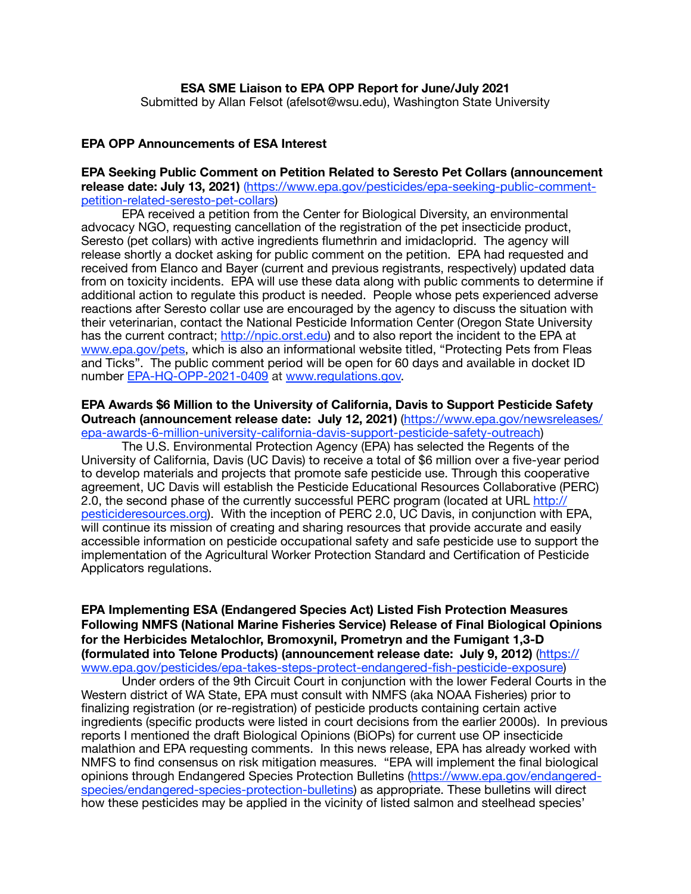## **EPA OPP Announcements of ESA Interest**

# **EPA Seeking Public Comment on Petition Related to Seresto Pet Collars (announcement release date: July 13, 2021)** [\(https://www.epa.gov/pesticides/epa-seeking-public-comment](https://www.epa.gov/pesticides/epa-seeking-public-comment-petition-related-seresto-pet-collars)[petition-related-seresto-pet-collars\)](https://www.epa.gov/pesticides/epa-seeking-public-comment-petition-related-seresto-pet-collars)

EPA received a petition from the Center for Biological Diversity, an environmental advocacy NGO, requesting cancellation of the registration of the pet insecticide product, Seresto (pet collars) with active ingredients flumethrin and imidacloprid. The agency will release shortly a docket asking for public comment on the petition. EPA had requested and received from Elanco and Bayer (current and previous registrants, respectively) updated data from on toxicity incidents. EPA will use these data along with public comments to determine if additional action to regulate this product is needed. People whose pets experienced adverse reactions after Seresto collar use are encouraged by the agency to discuss the situation with their veterinarian, contact the National Pesticide Information Center (Oregon State University has the current contract; <http://npic.orst.edu>) and to also report the incident to the EPA at [www.epa.gov/pets](http://www.epa.gov/pets), which is also an informational website titled, "Protecting Pets from Fleas and Ticks". The public comment period will be open for 60 days and available in docket ID number [EPA-HQ-OPP-2021-0409](https://www.regulations.gov/docket/EPA-HQ-OPP-2021-0409) at [www.regulations.gov.](https://www.regulations.gov/)

#### **EPA Awards \$6 Million to the University of California, Davis to Support Pesticide Safety Outreach (announcement release date: July 12, 2021)** [\(https://www.epa.gov/newsreleases/](https://www.epa.gov/newsreleases/epa-awards-6-million-university-california-davis-support-pesticide-safety-outreach) [epa-awards-6-million-university-california-davis-support-pesticide-safety-outreach\)](https://www.epa.gov/newsreleases/epa-awards-6-million-university-california-davis-support-pesticide-safety-outreach)

The U.S. Environmental Protection Agency (EPA) has selected the Regents of the University of California, Davis (UC Davis) to receive a total of \$6 million over a five-year period to develop materials and projects that promote safe pesticide use. Through this cooperative agreement, UC Davis will establish the Pesticide Educational Resources Collaborative (PERC) 2.0, the second phase of the currently successful PERC program (located at URL [http://](http://pesticideresources.org) [pesticideresources.org\)](http://pesticideresources.org). With the inception of PERC 2.0, UC Davis, in conjunction with EPA, will continue its mission of creating and sharing resources that provide accurate and easily accessible information on pesticide occupational safety and safe pesticide use to support the implementation of the Agricultural Worker Protection Standard and Certification of Pesticide Applicators regulations.

**EPA Implementing ESA (Endangered Species Act) Listed Fish Protection Measures Following NMFS (National Marine Fisheries Service) Release of Final Biological Opinions for the Herbicides Metalochlor, Bromoxynil, Prometryn and the Fumigant 1,3-D [\(formulated into Telone Products\) \(announcement release date: July 9, 2012\)](https://www.epa.gov/pesticides/epa-takes-steps-protect-endangered-fish-pesticide-exposure)** ([https://](https://www.epa.gov/pesticides/epa-takes-steps-protect-endangered-fish-pesticide-exposure) [www.epa.gov/pesticides/epa-takes-steps-protect-endangered-fish-pesticide-exposure](https://www.epa.gov/pesticides/epa-takes-steps-protect-endangered-fish-pesticide-exposure))

Under orders of the 9th Circuit Court in conjunction with the lower Federal Courts in the Western district of WA State, EPA must consult with NMFS (aka NOAA Fisheries) prior to finalizing registration (or re-registration) of pesticide products containing certain active ingredients (specific products were listed in court decisions from the earlier 2000s). In previous reports I mentioned the draft Biological Opinions (BiOPs) for current use OP insecticide malathion and EPA requesting comments. In this news release, EPA has already worked with NMFS to find consensus on risk mitigation measures. "EPA will implement the final biological opinions through Endangered Species Protection Bulletins [\(https://www.epa.gov/endangered](https://www.epa.gov/endangered-species/endangered-species-protection-bulletins)[species/endangered-species-protection-bulletins](https://www.epa.gov/endangered-species/endangered-species-protection-bulletins)) as appropriate. These bulletins will direct how these pesticides may be applied in the vicinity of listed salmon and steelhead species'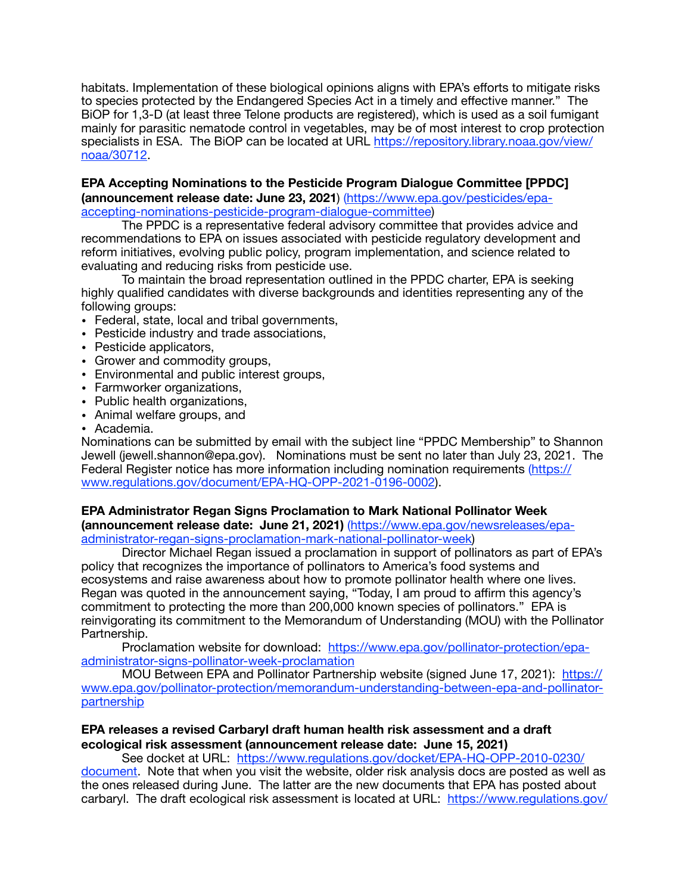habitats. Implementation of these biological opinions aligns with EPA's efforts to mitigate risks to species protected by the Endangered Species Act in a timely and effective manner." The BiOP for 1,3-D (at least three Telone products are registered), which is used as a soil fumigant mainly for parasitic nematode control in vegetables, may be of most interest to crop protection specialists in ESA. The BiOP can be located at URL [https://repository.library.noaa.gov/view/](https://repository.library.noaa.gov/view/noaa/30712) [noaa/30712](https://repository.library.noaa.gov/view/noaa/30712).

#### **EPA Accepting Nominations to the Pesticide Program Dialogue Committee [PPDC] [\(announcement release date: June 23, 2021](https://www.epa.gov/pesticides/epa-accepting-nominations-pesticide-program-dialogue-committee)**) [\(https://www.epa.gov/pesticides/epa](https://www.epa.gov/pesticides/epa-accepting-nominations-pesticide-program-dialogue-committee)[accepting-nominations-pesticide-program-dialogue-committee](https://www.epa.gov/pesticides/epa-accepting-nominations-pesticide-program-dialogue-committee))

The PPDC is a representative federal advisory committee that provides advice and recommendations to EPA on issues associated with pesticide regulatory development and reform initiatives, evolving public policy, program implementation, and science related to evaluating and reducing risks from pesticide use.

To maintain the broad representation outlined in the PPDC charter, EPA is seeking highly qualified candidates with diverse backgrounds and identities representing any of the following groups:

- Federal, state, local and tribal governments,
- Pesticide industry and trade associations,
- Pesticide applicators,
- Grower and commodity groups,
- Environmental and public interest groups,
- Farmworker organizations,
- Public health organizations,
- Animal welfare groups, and

• Academia.

Nominations can be submitted by email with the subject line "PPDC Membership" to Shannon Jewell (jewell.shannon@epa.gov). Nominations must be sent no later than July 23, 2021. The Federal Register notice has more information including nomination requirements [\(https://](https://www.regulations.gov/document/EPA-HQ-OPP-2021-0196-0002) [www.regulations.gov/document/EPA-HQ-OPP-2021-0196-0002\)](https://www.regulations.gov/document/EPA-HQ-OPP-2021-0196-0002).

# **EPA Administrator Regan Signs Proclamation to Mark National Pollinator Week**

**(announcement release date: June 21, 2021)** ([https://www.epa.gov/newsreleases/epa](https://www.epa.gov/newsreleases/epa-administrator-regan-signs-proclamation-mark-national-pollinator-week)[administrator-regan-signs-proclamation-mark-national-pollinator-week\)](https://www.epa.gov/newsreleases/epa-administrator-regan-signs-proclamation-mark-national-pollinator-week)

Director Michael Regan issued a proclamation in support of pollinators as part of EPA's policy that recognizes the importance of pollinators to America's food systems and ecosystems and raise awareness about how to promote pollinator health where one lives. Regan was quoted in the announcement saying, "Today, I am proud to affirm this agency's commitment to protecting the more than 200,000 known species of pollinators." EPA is reinvigorating its commitment to the Memorandum of Understanding (MOU) with the Pollinator Partnership.

Proclamation website for download: [https://www.epa.gov/pollinator-protection/epa](https://www.epa.gov/pollinator-protection/epa-administrator-signs-pollinator-week-proclamation)[administrator-signs-pollinator-week-proclamation](https://www.epa.gov/pollinator-protection/epa-administrator-signs-pollinator-week-proclamation)

MOU Between EPA and Pollinator Partnership website (signed June 17, 2021): [https://](https://www.epa.gov/pollinator-protection/memorandum-understanding-between-epa-and-pollinator-partnership) [www.epa.gov/pollinator-protection/memorandum-understanding-between-epa-and-pollinator](https://www.epa.gov/pollinator-protection/memorandum-understanding-between-epa-and-pollinator-partnership)[partnership](https://www.epa.gov/pollinator-protection/memorandum-understanding-between-epa-and-pollinator-partnership)

## **EPA releases a revised Carbaryl draft human health risk assessment and a draft ecological risk assessment (announcement release date: June 15, 2021)**

See docket at URL: [https://www.regulations.gov/docket/EPA-HQ-OPP-2010-0230/](https://www.regulations.gov/docket/EPA-HQ-OPP-2010-0230/document) [document.](https://www.regulations.gov/docket/EPA-HQ-OPP-2010-0230/document) Note that when you visit the website, older risk analysis docs are posted as well as the ones released during June. The latter are the new documents that EPA has posted about

carbaryl. The draft ecological risk assessment is located at URL: [https://www.regulations.gov/](https://www.regulations.gov/document/EPA-HQ-OPP-2010-0230-0073)